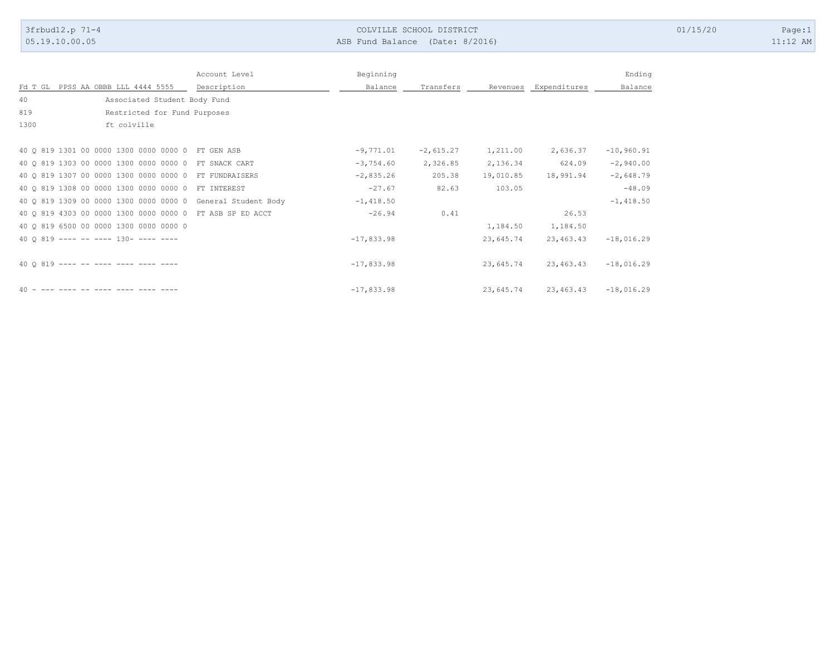| 3frbud12.p 71-4<br>05.19.10.00.05                                                                  |               | ASB Fund Balance (Date: 8/2016) | COLVILLE SCHOOL DISTRICT |                       |                        |                          | 01/15/20 | Page:1<br>$11:12$ AM |
|----------------------------------------------------------------------------------------------------|---------------|---------------------------------|--------------------------|-----------------------|------------------------|--------------------------|----------|----------------------|
|                                                                                                    |               |                                 |                          |                       |                        |                          |          |                      |
|                                                                                                    |               |                                 |                          |                       |                        |                          |          |                      |
|                                                                                                    | Account Level | Beginning                       |                          |                       |                        | Ending                   |          |                      |
| Fd T GL PPSS AA OBBB LLL 4444 5555<br>40<br>Associated Student Body Fund                           | Description   | Balance                         | Transfers                |                       | Revenues Expenditures  | Balance                  |          |                      |
| 819<br>Restricted for Fund Purposes                                                                |               |                                 |                          |                       |                        |                          |          |                      |
| 1300<br>ft colville                                                                                |               |                                 |                          |                       |                        |                          |          |                      |
|                                                                                                    |               |                                 |                          |                       |                        |                          |          |                      |
| 40 Q 819 1301 00 0000 1300 0000 0000 0 FT GEN ASB                                                  |               | $-9,771.01$                     | $-2,615.27$              | 1,211.00              | 2,636.37               | $-10,960.91$             |          |                      |
| 40 Q 819 1303 00 0000 1300 0000 0000 0 FT SNACK CART                                               |               | $-3,754.60$                     | 2,326.85                 | 2,136.34              | 624.09                 | $-2,940.00$              |          |                      |
| 40 Q 819 1307 00 0000 1300 0000 0000 0 FT FUNDRAISERS                                              |               | $-2,835.26$                     | 205.38                   | 19,010.85             | 18,991.94              | $-2,648.79$              |          |                      |
| 40 Q 819 1308 00 0000 1300 0000 0000 0 FT INTEREST                                                 |               | $-27.67$                        | 82.63                    | 103.05                |                        | $-48.09$                 |          |                      |
| 40 Q 819 1309 00 0000 1300 0000 0000 0 General Student Body                                        |               | $-1,418.50$                     |                          |                       |                        | $-1,418.50$              |          |                      |
| 40 Q 819 4303 00 0000 1300 0000 0000 0 FT ASB SP ED ACCT<br>40 Q 819 6500 00 0000 1300 0000 0000 0 |               | $-26.94$                        | 0.41                     |                       | 26.53                  |                          |          |                      |
| 40 Q 819 ---- -- ---- 130- ---- ----                                                               |               | $-17,833.98$                    |                          | 1,184.50<br>23,645.74 | 1,184.50<br>23, 463.43 | $-18,016.29$             |          |                      |
|                                                                                                    |               |                                 |                          |                       |                        |                          |          |                      |
| 40 Q 819 ---- -- ---- ---- ---- ----                                                               |               | $-17,833.98$                    |                          | 23,645.74             |                        | 23, 463. 43 -18, 016. 29 |          |                      |
|                                                                                                    |               |                                 |                          |                       |                        |                          |          |                      |
| $40$ - --- ---- -- ---- ---- ---- ----                                                             |               | $-17,833.98$                    |                          | 23,645.74             |                        | $23,463.43 -18,016.29$   |          |                      |
|                                                                                                    |               |                                 |                          |                       |                        |                          |          |                      |
|                                                                                                    |               |                                 |                          |                       |                        |                          |          |                      |
|                                                                                                    |               |                                 |                          |                       |                        |                          |          |                      |
|                                                                                                    |               |                                 |                          |                       |                        |                          |          |                      |
|                                                                                                    |               |                                 |                          |                       |                        |                          |          |                      |
|                                                                                                    |               |                                 |                          |                       |                        |                          |          |                      |
|                                                                                                    |               |                                 |                          |                       |                        |                          |          |                      |